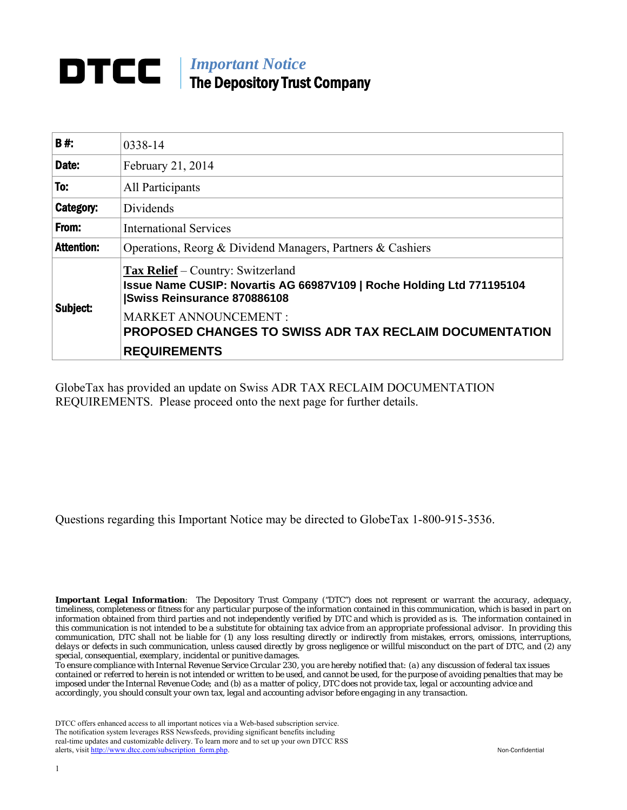## *Important Notice* The Depository Trust Company

| <b>B#</b>         | 0338-14                                                                                                                                                 |  |  |
|-------------------|---------------------------------------------------------------------------------------------------------------------------------------------------------|--|--|
| Date:             | February 21, 2014                                                                                                                                       |  |  |
| To:               | All Participants                                                                                                                                        |  |  |
| Category:         | Dividends                                                                                                                                               |  |  |
| From:             | <b>International Services</b>                                                                                                                           |  |  |
| <b>Attention:</b> | Operations, Reorg & Dividend Managers, Partners & Cashiers                                                                                              |  |  |
| Subject:          | <b>Tax Relief</b> – Country: Switzerland<br>Issue Name CUSIP: Novartis AG 66987V109   Roche Holding Ltd 771195104<br><b>Swiss Reinsurance 870886108</b> |  |  |
|                   | <b>MARKET ANNOUNCEMENT:</b><br><b>PROPOSED CHANGES TO SWISS ADR TAX RECLAIM DOCUMENTATION</b>                                                           |  |  |
|                   | <b>REQUIREMENTS</b>                                                                                                                                     |  |  |

GlobeTax has provided an update on Swiss ADR TAX RECLAIM DOCUMENTATION REQUIREMENTS. Please proceed onto the next page for further details.

Questions regarding this Important Notice may be directed to GlobeTax 1-800-915-3536.

*Important Legal Information: The Depository Trust Company ("DTC") does not represent or warrant the accuracy, adequacy, timeliness, completeness or fitness for any particular purpose of the information contained in this communication, which is based in part on information obtained from third parties and not independently verified by DTC and which is provided as is. The information contained in this communication is not intended to be a substitute for obtaining tax advice from an appropriate professional advisor. In providing this communication, DTC shall not be liable for (1) any loss resulting directly or indirectly from mistakes, errors, omissions, interruptions, delays or defects in such communication, unless caused directly by gross negligence or willful misconduct on the part of DTC, and (2) any special, consequential, exemplary, incidental or punitive damages.*

*To ensure compliance with Internal Revenue Service Circular 230, you are hereby notified that: (a) any discussion of federal tax issues contained or referred to herein is not intended or written to be used, and cannot be used, for the purpose of avoiding penalties that may be imposed under the Internal Revenue Code; and (b) as a matter of policy, DTC does not provide tax, legal or accounting advice and accordingly, you should consult your own tax, legal and accounting advisor before engaging in any transaction.*

DTCC offers enhanced access to all important notices via a Web-based subscription service. The notification system leverages RSS Newsfeeds, providing significant benefits including real-time updates and customizable delivery. To learn more and to set up your own DTCC RSS alerts, visit [http://www.dtcc.com/subscription\\_form.php.](http://www.dtcc.com/subscription_form.php) Non-Confidential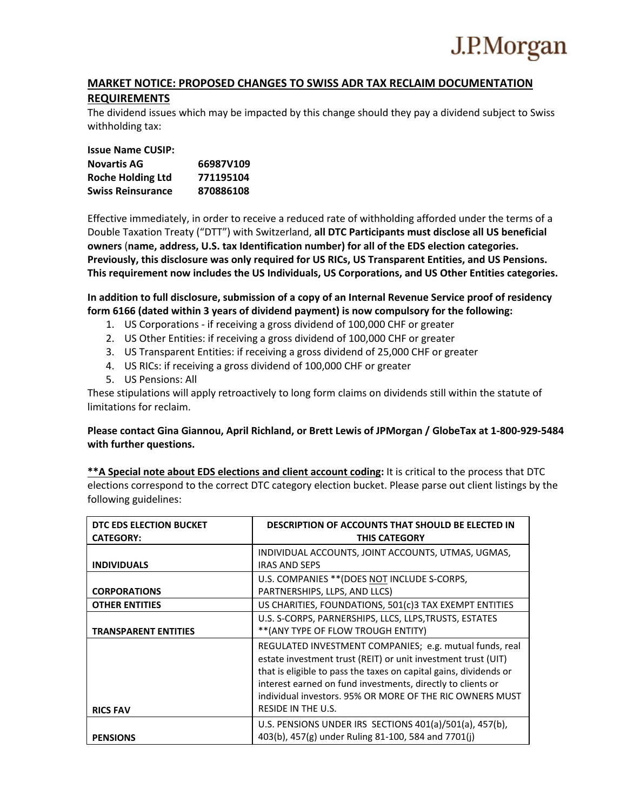

## **MARKET NOTICE: PROPOSED CHANGES TO SWISS ADR TAX RECLAIM DOCUMENTATION REQUIREMENTS**

The dividend issues which may be impacted by this change should they pay a dividend subject to Swiss withholding tax:

| <b>Issue Name CUSIP:</b> |           |
|--------------------------|-----------|
| <b>Novartis AG</b>       | 66987V109 |
| <b>Roche Holding Ltd</b> | 771195104 |
| <b>Swiss Reinsurance</b> | 870886108 |

Effective immediately, in order to receive a reduced rate of withholding afforded under the terms of a Double Taxation Treaty ("DTT") with Switzerland, **all DTC Participants must disclose all US beneficial owners** (**name, address, U.S. tax Identification number) for all of the EDS election categories. Previously, this disclosure was only required for US RICs, US Transparent Entities, and US Pensions. This requirement now includes the US Individuals, US Corporations, and US Other Entities categories.** 

**In addition to full disclosure, submission of a copy of an Internal Revenue Service proof of residency form 6166 (dated within 3 years of dividend payment) is now compulsory for the following:**

- 1. US Corporations ‐ if receiving a gross dividend of 100,000 CHF or greater
- 2. US Other Entities: if receiving a gross dividend of 100,000 CHF or greater
- 3. US Transparent Entities: if receiving a gross dividend of 25,000 CHF or greater
- 4. US RICs: if receiving a gross dividend of 100,000 CHF or greater
- 5. US Pensions: All

These stipulations will apply retroactively to long form claims on dividends still within the statute of limitations for reclaim.

## Please contact Gina Giannou, April Richland, or Brett Lewis of JPMorgan / GlobeTax at 1-800-929-5484 **with further questions.**

**\*\*A Special note about EDS elections and client account coding:** It is critical to the process that DTC elections correspond to the correct DTC category election bucket. Please parse out client listings by the following guidelines:

| DTC EDS ELECTION BUCKET<br><b>CATEGORY:</b> | <b>DESCRIPTION OF ACCOUNTS THAT SHOULD BE ELECTED IN</b><br><b>THIS CATEGORY</b>                                                                                                                                                                                                                                                               |
|---------------------------------------------|------------------------------------------------------------------------------------------------------------------------------------------------------------------------------------------------------------------------------------------------------------------------------------------------------------------------------------------------|
| <b>INDIVIDUALS</b>                          | INDIVIDUAL ACCOUNTS, JOINT ACCOUNTS, UTMAS, UGMAS,<br><b>IRAS AND SEPS</b>                                                                                                                                                                                                                                                                     |
| <b>CORPORATIONS</b>                         | U.S. COMPANIES ** (DOES NOT INCLUDE S-CORPS,<br>PARTNERSHIPS, LLPS, AND LLCS)                                                                                                                                                                                                                                                                  |
| <b>OTHER ENTITIES</b>                       | US CHARITIES, FOUNDATIONS, 501(c)3 TAX EXEMPT ENTITIES                                                                                                                                                                                                                                                                                         |
| <b>TRANSPARENT ENTITIES</b>                 | U.S. S-CORPS, PARNERSHIPS, LLCS, LLPS, TRUSTS, ESTATES<br>** (ANY TYPE OF FLOW TROUGH ENTITY)                                                                                                                                                                                                                                                  |
| <b>RICS FAV</b>                             | REGULATED INVESTMENT COMPANIES; e.g. mutual funds, real<br>estate investment trust (REIT) or unit investment trust (UIT)<br>that is eligible to pass the taxes on capital gains, dividends or<br>interest earned on fund investments, directly to clients or<br>individual investors, 95% OR MORE OF THE RIC OWNERS MUST<br>RESIDE IN THE U.S. |
|                                             | U.S. PENSIONS UNDER IRS SECTIONS 401(a)/501(a), 457(b),                                                                                                                                                                                                                                                                                        |
| <b>PENSIONS</b>                             | 403(b), 457(g) under Ruling 81-100, 584 and 7701(j)                                                                                                                                                                                                                                                                                            |